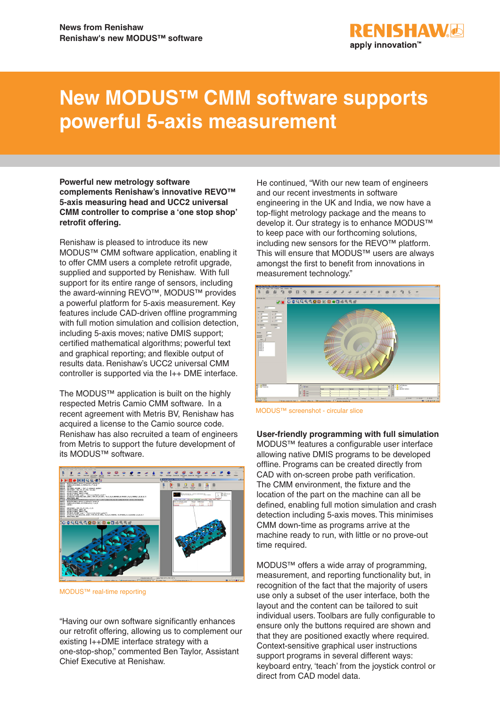

# **New MODUS™ CMM software supports powerful 5-axis measurement**

**Powerful new metrology software complements Renishaw's innovative REVO™ 5-axis measuring head and UCC2 universal CMM controller to comprise a 'one stop shop' retrofit offering.** 

Renishaw is pleased to introduce its new MODUS™ CMM software application, enabling it to offer CMM users a complete retrofit upgrade, supplied and supported by Renishaw. With full support for its entire range of sensors, including the award-winning REVO™, MODUS™ provides a powerful platform for 5-axis measurement. Key features include CAD-driven offline programming with full motion simulation and collision detection, including 5-axis moves; native DMIS support; certified mathematical algorithms; powerful text and graphical reporting; and flexible output of results data. Renishaw's UCC2 universal CMM controller is supported via the I++ DME interface.

The MODUS™ application is built on the highly respected Metris Camio CMM software. In a recent agreement with Metris BV, Renishaw has acquired a license to the Camio source code. Renishaw has also recruited a team of engineers from Metris to support the future development of its MODUS™ software.



MODUS™ real-time reporting

"Having our own software significantly enhances our retrofit offering, allowing us to complement our existing I++DME interface strategy with a one-stop-shop," commented Ben Taylor, Assistant Chief Executive at Renishaw.

He continued, "With our new team of engineers and our recent investments in software engineering in the UK and India, we now have a top-flight metrology package and the means to develop it. Our strategy is to enhance MODUS™ to keep pace with our forthcoming solutions, including new sensors for the REVO™ platform. This will ensure that MODUS™ users are always amongst the first to benefit from innovations in measurement technology."



MODUS™ screenshot - circular slice

**User-friendly programming with full simulation** MODUS™ features a configurable user interface allowing native DMIS programs to be developed offline. Programs can be created directly from CAD with on-screen probe path verification. The CMM environment, the fixture and the location of the part on the machine can all be defined, enabling full motion simulation and crash detection including 5-axis moves. This minimises CMM down-time as programs arrive at the machine ready to run, with little or no prove-out time required.

MODUS™ offers a wide array of programming, measurement, and reporting functionality but, in recognition of the fact that the majority of users use only a subset of the user interface, both the layout and the content can be tailored to suit individual users. Toolbars are fully configurable to ensure only the buttons required are shown and that they are positioned exactly where required. Context-sensitive graphical user instructions support programs in several different ways: keyboard entry, 'teach' from the joystick control or direct from CAD model data.